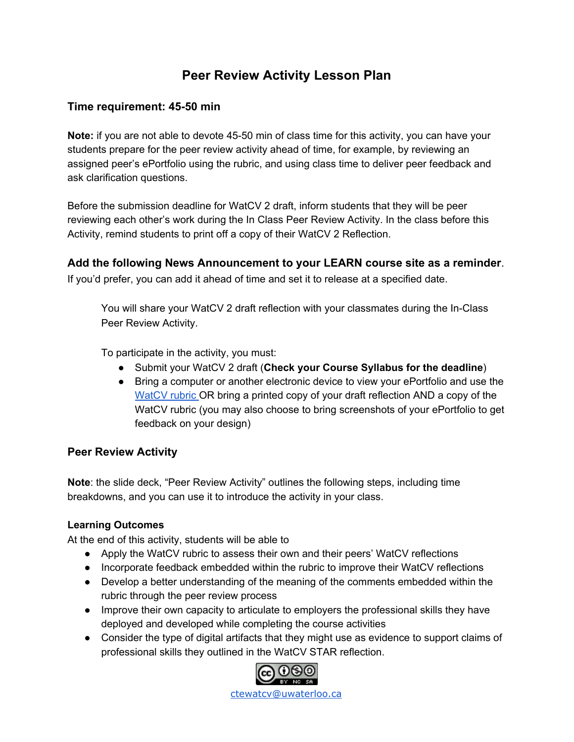# **Peer Review Activity Lesson Plan**

# **Time requirement: 45-50 min**

**Note:** if you are not able to devote 45-50 min of class time for this activity, you can have your students prepare for the peer review activity ahead of time, for example, by reviewing an assigned peer's ePortfolio using the rubric, and using class time to deliver peer feedback and ask clarification questions.

Before the submission deadline for WatCV 2 draft, inform students that they will be peer reviewing each other's work during the In Class Peer Review Activity. In the class before this Activity, remind students to print off a copy of their WatCV 2 Reflection.

**Add the following News Announcement to your LEARN course site as a reminder**. If you'd prefer, you can add it ahead of time and set it to release at a specified date.

You will share your WatCV 2 draft reflection with your classmates during the In-Class Peer Review Activity.

To participate in the activity, you must:

- Submit your WatCV 2 draft (**Check your Course Syllabus for the deadline**)
- Bring a computer or another electronic device to view your ePortfolio and use the [WatCV](http://54.85.222.76/rubric/) rubric OR bring a printed copy of your draft reflection AND a copy of the WatCV rubric (you may also choose to bring screenshots of your ePortfolio to get feedback on your design)

## **Peer Review Activity**

**Note**: the slide deck, "Peer Review Activity" outlines the following steps, including time breakdowns, and you can use it to introduce the activity in your class.

## **Learning Outcomes**

At the end of this activity, students will be able to

- Apply the WatCV rubric to assess their own and their peers' WatCV reflections
- Incorporate feedback embedded within the rubric to improve their WatCV reflections
- Develop a better understanding of the meaning of the comments embedded within the rubric through the peer review process
- Improve their own capacity to articulate to employers the professional skills they have deployed and developed while completing the course activities
- Consider the type of digital artifacts that they might use as evidence to support claims of professional skills they outlined in the WatCV STAR reflection.

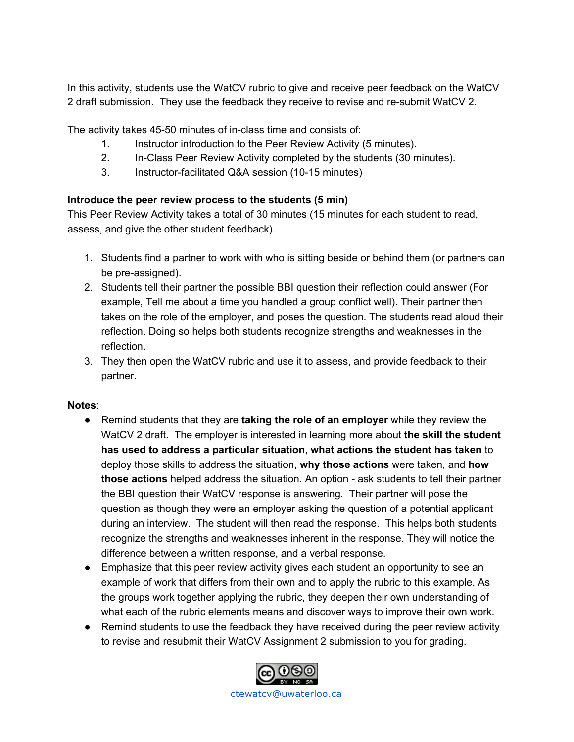In this activity, students use the WatCV rubric to give and receive peer feedback on the WatCV 2 draft submission. They use the feedback they receive to revise and re-submit WatCV 2.

The activity takes 45-50 minutes of in-class time and consists of:

- 1. Instructor introduction to the Peer Review Activity (5 minutes).
- 2. In-Class Peer Review Activity completed by the students (30 minutes).
- 3. Instructor-facilitated Q&A session (10-15 minutes)

## **Introduce the peer review process to the students (5 min)**

This Peer Review Activity takes a total of 30 minutes (15 minutes for each student to read, assess, and give the other student feedback).

- 1. Students find a partner to work with who is sitting beside or behind them (or partners can be pre-assigned).
- 2. Students tell their partner the possible BBI question their reflection could answer (For example, Tell me about a time you handled a group conflict well). Their partner then takes on the role of the employer, and poses the question. The students read aloud their reflection. Doing so helps both students recognize strengths and weaknesses in the reflection.
- 3. They then open the WatCV rubric and use it to assess, and provide feedback to their partner.

#### **Notes**:

- Remind students that they are **taking the role of an employer** while they review the WatCV 2 draft. The employer is interested in learning more about **the skill the student has used to address a particular situation**, **what actions the student has taken** to deploy those skills to address the situation, **why those actions** were taken, and **how those actions** helped address the situation. An option - ask students to tell their partner the BBI question their WatCV response is answering. Their partner will pose the question as though they were an employer asking the question of a potential applicant during an interview. The student will then read the response. This helps both students recognize the strengths and weaknesses inherent in the response. They will notice the difference between a written response, and a verbal response.
- Emphasize that this peer review activity gives each student an opportunity to see an example of work that differs from their own and to apply the rubric to this example. As the groups work together applying the rubric, they deepen their own understanding of what each of the rubric elements means and discover ways to improve their own work.
- Remind students to use the feedback they have received during the peer review activity to revise and resubmit their WatCV Assignment 2 submission to you for grading.